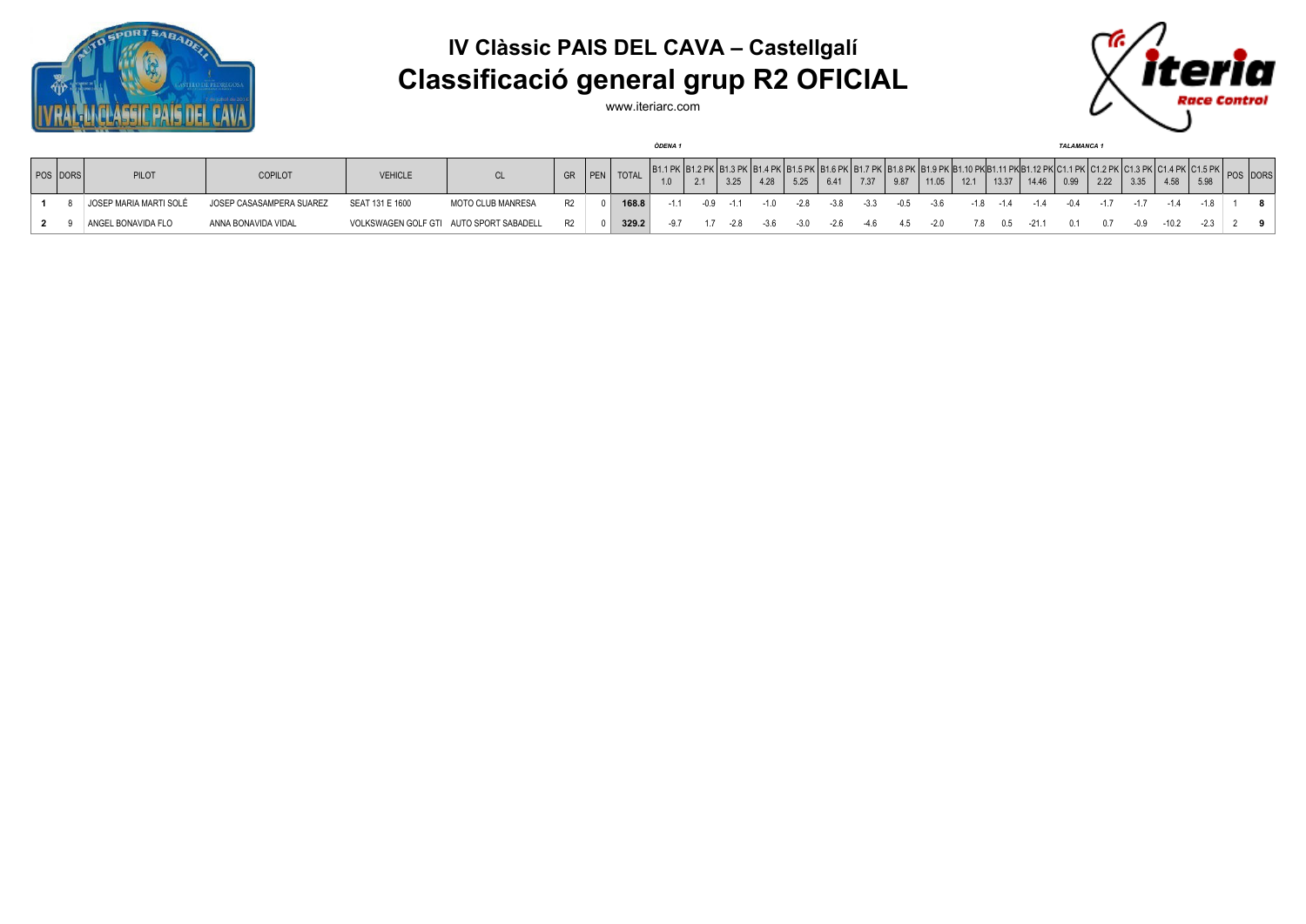

## **IV Clàssic PAIS DEL CAVA – Castellgalí Classificació general grup R2 OFICIAL**



www.iteriarc.com

| <b>ODENA1</b> |                               |                          |                                         |                          |    |          |              |       |                   |        |        |       |                                                                             |      | <b>TALAMANCA 1</b> |       |      |                                      |       |      |      |      |      |      |          |  |
|---------------|-------------------------------|--------------------------|-----------------------------------------|--------------------------|----|----------|--------------|-------|-------------------|--------|--------|-------|-----------------------------------------------------------------------------|------|--------------------|-------|------|--------------------------------------|-------|------|------|------|------|------|----------|--|
| POS DORS      | PILOT                         | <b>COPILOT</b>           | <b>VEHICLE</b>                          | <b>CL</b>                |    | GR   PEN | <b>TOTAL</b> |       | (IB1.2 PK)<br>2.1 | 3.25   | 4.28   | 5.25  | <u>I D4 E DIX I D4 A DIX I D4 7 DIX I D4 A DIX I D4 A DIX ID4 .</u><br>6.41 | 7.37 | 9.87               | 11.05 | 12.1 | $\begin{array}{c} 13.37 \end{array}$ | 14.46 | 0.99 | 2.22 | 3.35 | 4.58 | 5.98 | POS DORS |  |
|               | <b>JOSEP MARIA MARTI SOLÉ</b> | JOSEP CASASAMPERA SUAREZ | SEAT 131 E 1600                         | <b>MOTO CLUB MANRESA</b> | R2 |          | 168.8        | $-11$ |                   | $-1.1$ | $-1.0$ | -2.8  | -38                                                                         |      |                    |       |      | $-1.4$                               |       |      |      |      |      |      |          |  |
|               | ANGEL BONAVIDA FLO            | ANNA BONAVIDA VIDAL      | VOLKSWAGEN GOLF GTI AUTO SPORT SABADELL |                          | R2 |          | 329.2        |       |                   | $-2.8$ | $-3.6$ | $-30$ | $-2.6$                                                                      | -46  |                    | $-20$ |      | 0 <sub>b</sub>                       |       |      |      |      |      |      |          |  |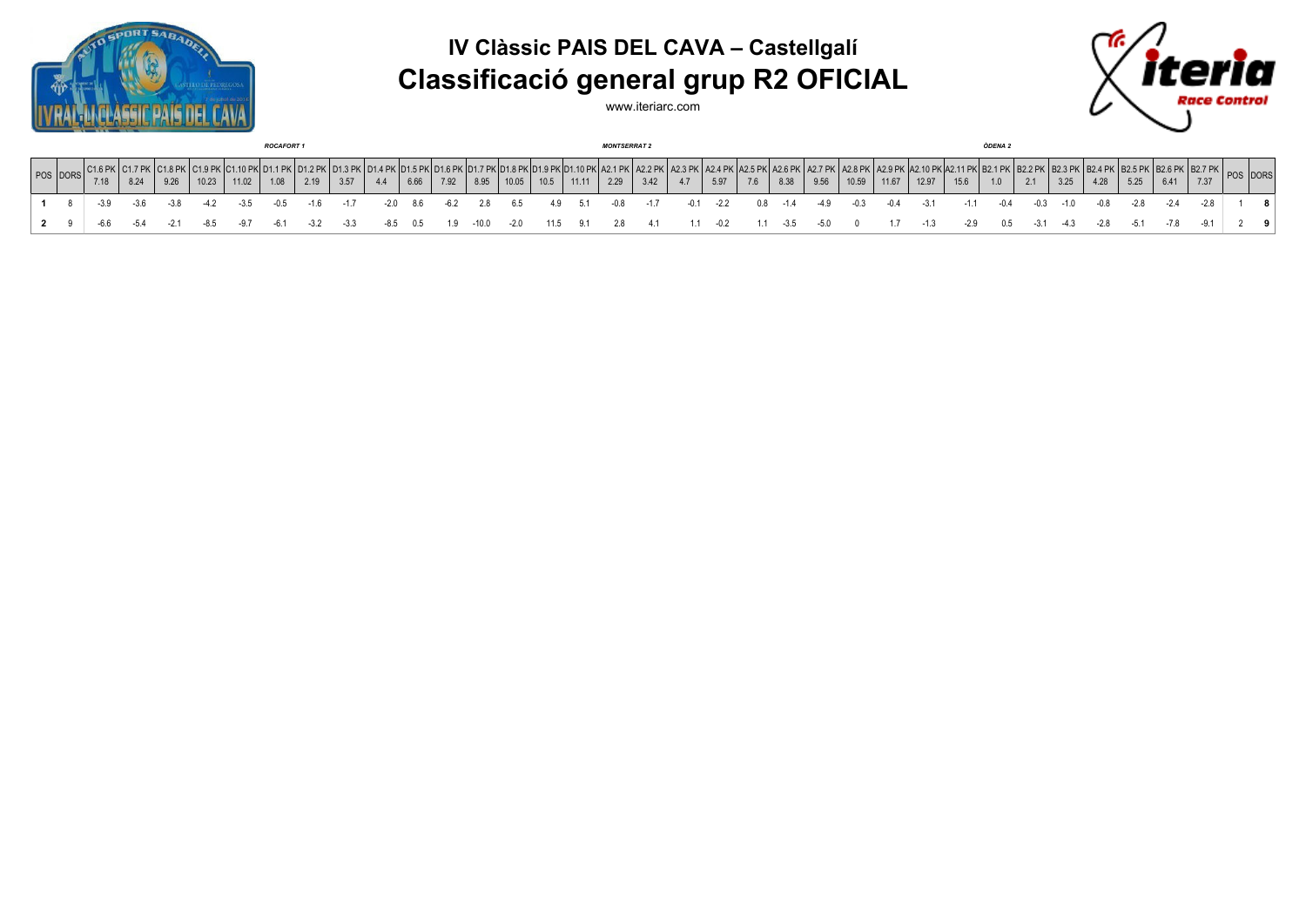





www.iteriarc.com

|     | <b>ROCAFORT 1</b>                                    |      |      |      |       |       |      |      |      |        |      |      | <b>MONTSERRAT 2</b> |       |      |       |      |      |     |      |     |      | ÒDENA 2 |       |       |       |      |     |        |        |        |      |      |      |          |     |
|-----|------------------------------------------------------|------|------|------|-------|-------|------|------|------|--------|------|------|---------------------|-------|------|-------|------|------|-----|------|-----|------|---------|-------|-------|-------|------|-----|--------|--------|--------|------|------|------|----------|-----|
|     | POS DORS $\begin{bmatrix} C1.6 \\ 7.4 \end{bmatrix}$ | 7.18 | 8.24 | 9.26 | 10.23 | 11.02 | 1.08 | 2.19 | 3.57 | $-4.4$ | 6.66 | 7.92 | 8.95                | 10.05 | 10.5 | 11.11 | 2.29 | 3.42 | 4.7 | 5.97 | 7.6 | 8.38 | 9.56    | 10.59 | 11.67 | 12.97 | 15.6 | 1.0 |        | 3.25   | 4.28   | 5.25 | 6.41 | 7.37 | POS DORS |     |
|     |                                                      |      |      |      |       |       |      |      |      |        |      |      |                     |       |      |       |      |      |     |      |     |      |         |       |       |       |      |     |        |        |        |      |      |      |          | 8   |
| 2 9 |                                                      |      |      |      |       |       |      |      |      |        |      |      |                     |       |      |       |      |      |     |      |     | -35  |         |       |       |       |      | 0.5 | $-3.1$ | $-4.3$ | $-2.8$ |      |      |      |          | - 0 |